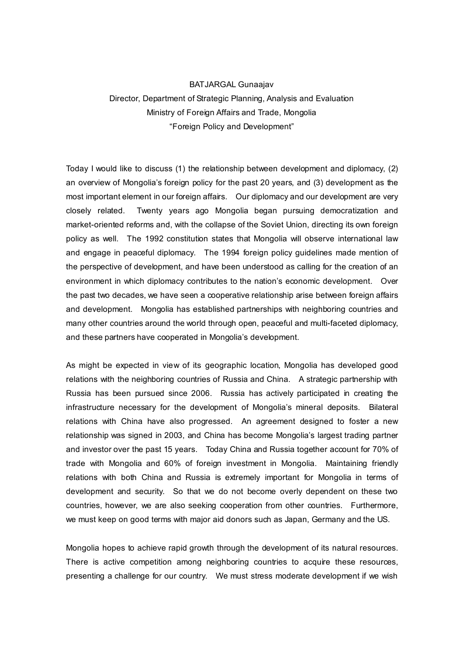## BATJARGAL Gunaajav Director, Department of Strategic Planning, Analysis and Evaluation Ministry of Foreign Affairs and Trade, Mongolia "Foreign Policy and Development"

Today I would like to discuss (1) the relationship between development and diplomacy, (2) an overview of Mongolia's foreign policy for the past 20 years, and (3) development as the most important element in our foreign affairs. Our diplomacy and our development are very closely related. Twenty years ago Mongolia began pursuing democratization and market-oriented reforms and, with the collapse of the Soviet Union, directing its own foreign policy as well. The 1992 constitution states that Mongolia will observe international law and engage in peaceful diplomacy. The 1994 foreign policy guidelines made mention of the perspective of development, and have been understood as calling for the creation of an environment in which diplomacy contributes to the nation's economic development. Over the past two decades, we have seen a cooperative relationship arise between foreign affairs and development. Mongolia has established partnerships with neighboring countries and many other countries around the world through open, peaceful and multi-faceted diplomacy, and these partners have cooperated in Mongolia's development.

As might be expected in view of its geographic location, Mongolia has developed good relations with the neighboring countries of Russia and China. A strategic partnership with Russia has been pursued since 2006. Russia has actively participated in creating the infrastructure necessary for the development of Mongolia's mineral deposits. Bilateral relations with China have also progressed. An agreement designed to foster a new relationship was signed in 2003, and China has become Mongolia's largest trading partner and investor over the past 15 years. Today China and Russia together account for 70% of trade with Mongolia and 60% of foreign investment in Mongolia. Maintaining friendly relations with both China and Russia is extremely important for Mongolia in terms of development and security. So that we do not become overly dependent on these two countries, however, we are also seeking cooperation from other countries. Furthermore, we must keep on good terms with major aid donors such as Japan, Germany and the US.

Mongolia hopes to achieve rapid growth through the development of its natural resources. There is active competition among neighboring countries to acquire these resources, presenting a challenge for our country. We must stress moderate development if we wish